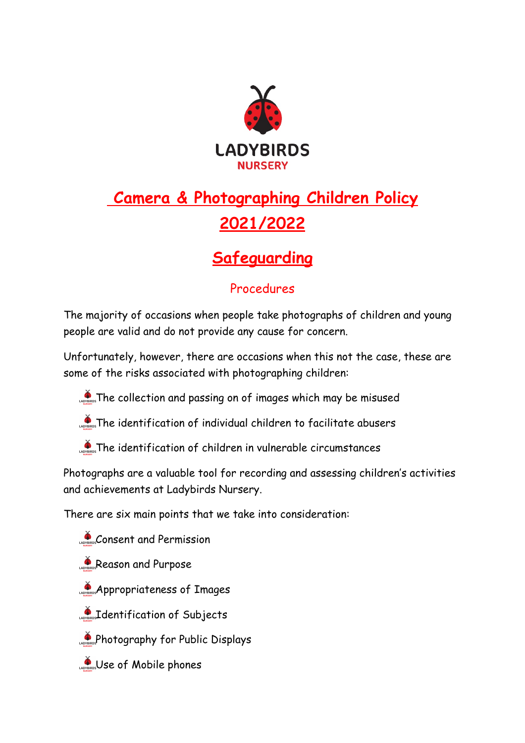

# **Camera & Photographing Children Policy 2021/2022**

## **Safeguarding**

### Procedures

The majority of occasions when people take photographs of children and young people are valid and do not provide any cause for concern.

Unfortunately, however, there are occasions when this not the case, these are some of the risks associated with photographing children:

- The collection and passing on of images which may be misused
- **The identification of individual children to facilitate abusers**
- The identification of children in vulnerable circumstances

Photographs are a valuable tool for recording and assessing children's activities and achievements at Ladybirds Nursery.

There are six main points that we take into consideration:

- Consent and Permission
- Reason and Purpose
- **Appropriateness of Images**
- Identification of Subjects
- **Apple 5 Photography for Public Displays**
- Use of Mobile phones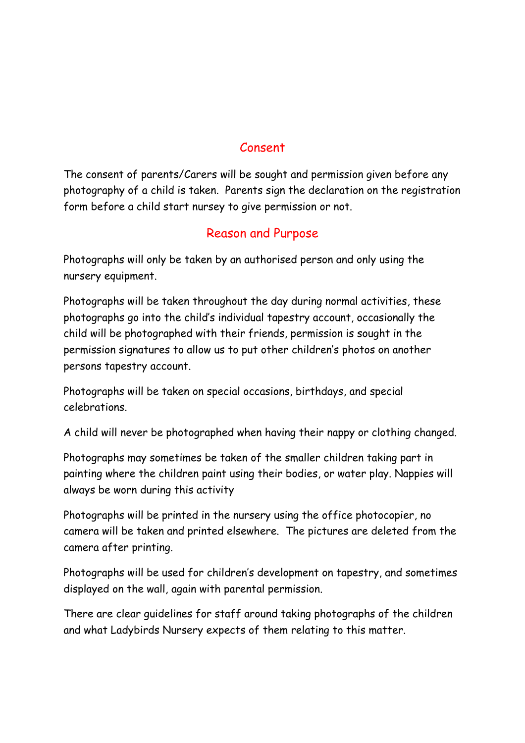#### Consent

The consent of parents/Carers will be sought and permission given before any photography of a child is taken. Parents sign the declaration on the registration form before a child start nursey to give permission or not.

#### Reason and Purpose

Photographs will only be taken by an authorised person and only using the nursery equipment.

Photographs will be taken throughout the day during normal activities, these photographs go into the child's individual tapestry account, occasionally the child will be photographed with their friends, permission is sought in the permission signatures to allow us to put other children's photos on another persons tapestry account.

Photographs will be taken on special occasions, birthdays, and special celebrations.

A child will never be photographed when having their nappy or clothing changed.

Photographs may sometimes be taken of the smaller children taking part in painting where the children paint using their bodies, or water play. Nappies will always be worn during this activity

Photographs will be printed in the nursery using the office photocopier, no camera will be taken and printed elsewhere. The pictures are deleted from the camera after printing.

Photographs will be used for children's development on tapestry, and sometimes displayed on the wall, again with parental permission.

There are clear guidelines for staff around taking photographs of the children and what Ladybirds Nursery expects of them relating to this matter.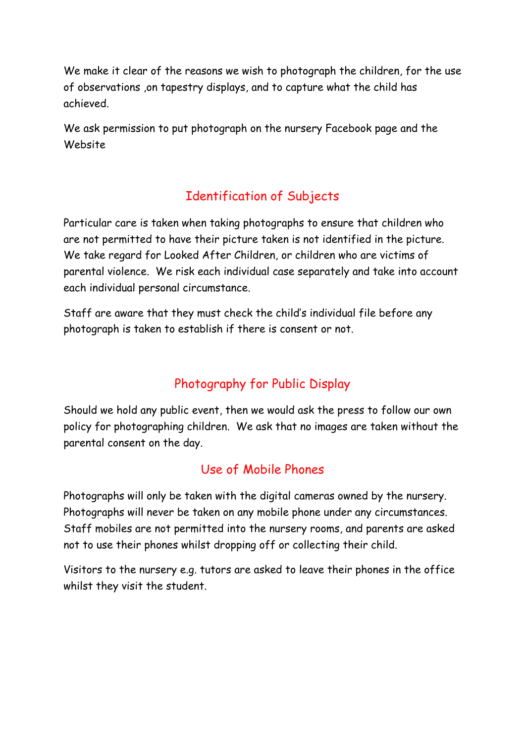We make it clear of the reasons we wish to photograph the children, for the use of observations ,on tapestry displays, and to capture what the child has achieved.

We ask permission to put photograph on the nursery Facebook page and the Website

## Identification of Subjects

Particular care is taken when taking photographs to ensure that children who are not permitted to have their picture taken is not identified in the picture. We take regard for Looked After Children, or children who are victims of parental violence. We risk each individual case separately and take into account each individual personal circumstance.

Staff are aware that they must check the child's individual file before any photograph is taken to establish if there is consent or not.

## Photography for Public Display

Should we hold any public event, then we would ask the press to follow our own policy for photographing children. We ask that no images are taken without the parental consent on the day.

## Use of Mobile Phones

Photographs will only be taken with the digital cameras owned by the nursery. Photographs will never be taken on any mobile phone under any circumstances. Staff mobiles are not permitted into the nursery rooms, and parents are asked not to use their phones whilst dropping off or collecting their child.

Visitors to the nursery e.g. tutors are asked to leave their phones in the office whilst they visit the student.